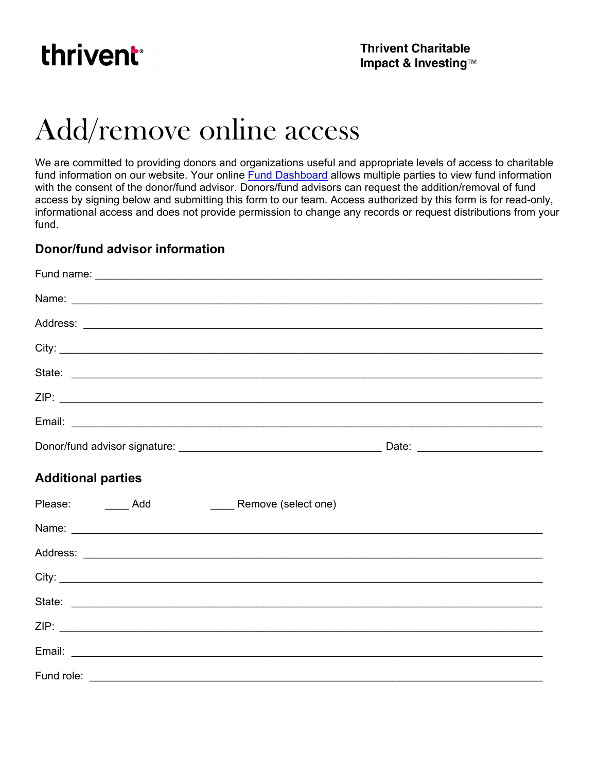

## Add/remove online access

We are committed to providing donors and organizations useful and appropriate levels of access to charitable fund information on our website. Your online **Fund Dashboard** allows multiple parties to view fund information with the consent of the donor/fund advisor. Donors/fund advisors can request the addition/removal of fund access by signing below and submitting this form to our team. Access authorized by this form is for read-only, informational access and does not provide permission to change any records or request distributions from your fund.

## **Donor/fund advisor information**

| <b>Additional parties</b>       |  |
|---------------------------------|--|
| Please: Add Remove (select one) |  |
|                                 |  |
|                                 |  |
|                                 |  |
|                                 |  |
|                                 |  |
|                                 |  |
|                                 |  |